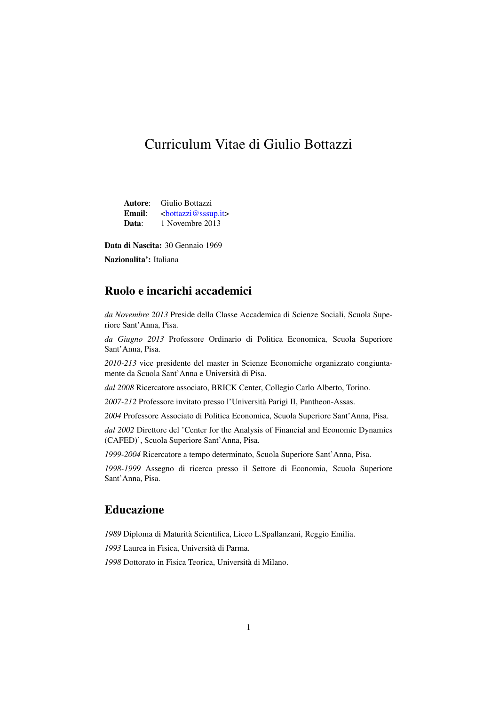# Curriculum Vitae di Giulio Bottazzi

Autore: Giulio Bottazzi Email: [<bottazzi@sssup.it>](mailto:bottazzi@sssup.it) Data: 1 Novembre 2013

Data di Nascita: 30 Gennaio 1969

Nazionalita': Italiana

# Ruolo e incarichi accademici

*da Novembre 2013* Preside della Classe Accademica di Scienze Sociali, Scuola Superiore Sant'Anna, Pisa.

*da Giugno 2013* Professore Ordinario di Politica Economica, Scuola Superiore Sant'Anna, Pisa.

*2010-213* vice presidente del master in Scienze Economiche organizzato congiuntamente da Scuola Sant'Anna e Università di Pisa.

*dal 2008* Ricercatore associato, BRICK Center, Collegio Carlo Alberto, Torino.

*2007-212* Professore invitato presso l'Università Parigi II, Pantheon-Assas.

*2004* Professore Associato di Politica Economica, Scuola Superiore Sant'Anna, Pisa.

*dal 2002* Direttore del 'Center for the Analysis of Financial and Economic Dynamics (CAFED)', Scuola Superiore Sant'Anna, Pisa.

*1999-2004* Ricercatore a tempo determinato, Scuola Superiore Sant'Anna, Pisa.

*1998-1999* Assegno di ricerca presso il Settore di Economia, Scuola Superiore Sant'Anna, Pisa.

# Educazione

*1989* Diploma di Maturità Scientifica, Liceo L.Spallanzani, Reggio Emilia.

*1993* Laurea in Fisica, Università di Parma.

*1998* Dottorato in Fisica Teorica, Università di Milano.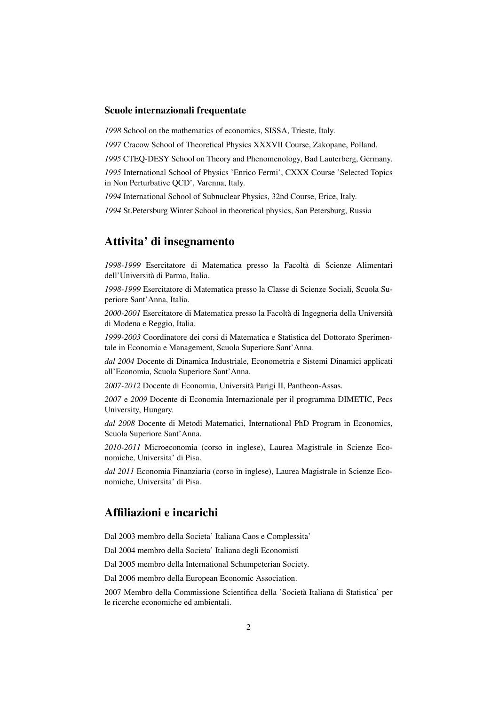#### Scuole internazionali frequentate

*1998* School on the mathematics of economics, SISSA, Trieste, Italy.

*1997* Cracow School of Theoretical Physics XXXVII Course, Zakopane, Polland.

*1995* CTEQ-DESY School on Theory and Phenomenology, Bad Lauterberg, Germany.

*1995* International School of Physics 'Enrico Fermi', CXXX Course 'Selected Topics in Non Perturbative QCD', Varenna, Italy.

*1994* International School of Subnuclear Physics, 32nd Course, Erice, Italy.

*1994* St.Petersburg Winter School in theoretical physics, San Petersburg, Russia

### Attivita' di insegnamento

*1998-1999* Esercitatore di Matematica presso la Facoltà di Scienze Alimentari dell'Università di Parma, Italia.

*1998-1999* Esercitatore di Matematica presso la Classe di Scienze Sociali, Scuola Superiore Sant'Anna, Italia.

*2000-2001* Esercitatore di Matematica presso la Facoltà di Ingegneria della Università di Modena e Reggio, Italia.

*1999-2003* Coordinatore dei corsi di Matematica e Statistica del Dottorato Sperimentale in Economia e Management, Scuola Superiore Sant'Anna.

*dal 2004* Docente di Dinamica Industriale, Econometria e Sistemi Dinamici applicati all'Economia, Scuola Superiore Sant'Anna.

*2007-2012* Docente di Economia, Università Parigi II, Pantheon-Assas.

*2007* e *2009* Docente di Economia Internazionale per il programma DIMETIC, Pecs University, Hungary.

*dal 2008* Docente di Metodi Matematici, International PhD Program in Economics, Scuola Superiore Sant'Anna.

*2010-2011* Microeconomia (corso in inglese), Laurea Magistrale in Scienze Economiche, Universita' di Pisa.

*dal 2011* Economia Finanziaria (corso in inglese), Laurea Magistrale in Scienze Economiche, Universita' di Pisa.

### Affiliazioni e incarichi

Dal 2003 membro della Societa' Italiana Caos e Complessita'

Dal 2004 membro della Societa' Italiana degli Economisti

Dal 2005 membro della International Schumpeterian Society.

Dal 2006 membro della European Economic Association.

2007 Membro della Commissione Scientifica della 'Società Italiana di Statistica' per le ricerche economiche ed ambientali.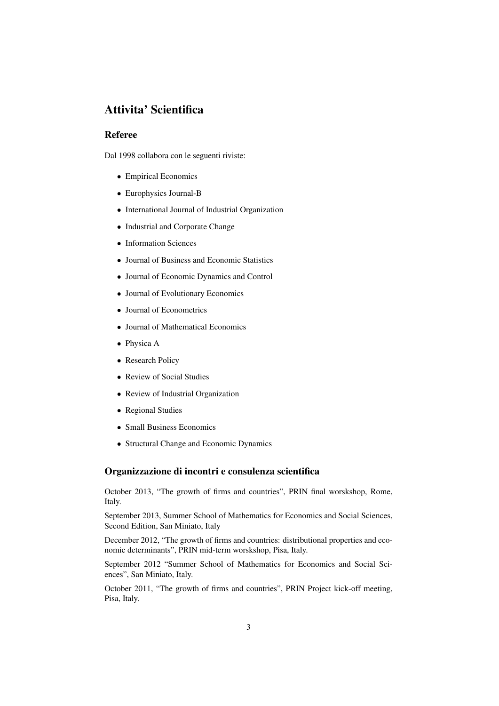# Attivita' Scientifica

### Referee

Dal 1998 collabora con le seguenti riviste:

- ∙ Empirical Economics
- ∙ Europhysics Journal-B
- ∙ International Journal of Industrial Organization
- ∙ Industrial and Corporate Change
- ∙ Information Sciences
- ∙ Journal of Business and Economic Statistics
- ∙ Journal of Economic Dynamics and Control
- ∙ Journal of Evolutionary Economics
- ∙ Journal of Econometrics
- ∙ Journal of Mathematical Economics
- ∙ Physica A
- ∙ Research Policy
- ∙ Review of Social Studies
- ∙ Review of Industrial Organization
- ∙ Regional Studies
- ∙ Small Business Economics
- ∙ Structural Change and Economic Dynamics

### Organizzazione di incontri e consulenza scientifica

October 2013, "The growth of firms and countries", PRIN final worskshop, Rome, Italy.

September 2013, Summer School of Mathematics for Economics and Social Sciences, Second Edition, San Miniato, Italy

December 2012, "The growth of firms and countries: distributional properties and economic determinants", PRIN mid-term worskshop, Pisa, Italy.

September 2012 "Summer School of Mathematics for Economics and Social Sciences", San Miniato, Italy.

October 2011, "The growth of firms and countries", PRIN Project kick-off meeting, Pisa, Italy.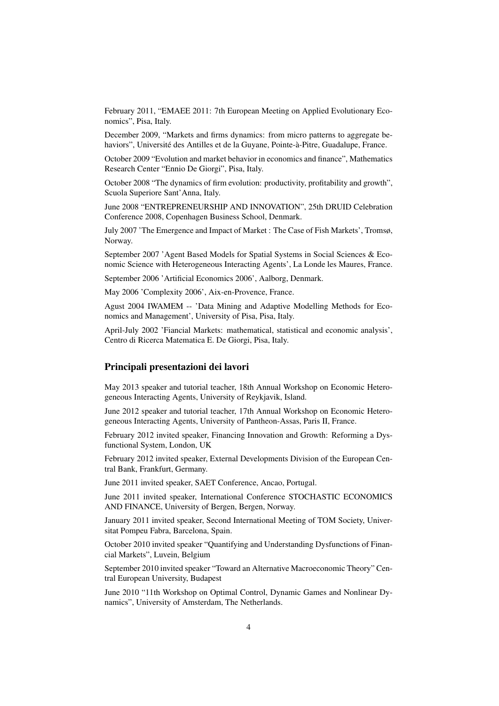February 2011, "EMAEE 2011: 7th European Meeting on Applied Evolutionary Economics", Pisa, Italy.

December 2009, "Markets and firms dynamics: from micro patterns to aggregate behaviors", Université des Antilles et de la Guyane, Pointe-à-Pitre, Guadalupe, France.

October 2009 "Evolution and market behavior in economics and finance", Mathematics Research Center "Ennio De Giorgi", Pisa, Italy.

October 2008 "The dynamics of firm evolution: productivity, profitability and growth", Scuola Superiore Sant'Anna, Italy.

June 2008 "ENTREPRENEURSHIP AND INNOVATION", 25th DRUID Celebration Conference 2008, Copenhagen Business School, Denmark.

July 2007 'The Emergence and Impact of Market : The Case of Fish Markets', Tromsø, Norway.

September 2007 'Agent Based Models for Spatial Systems in Social Sciences & Economic Science with Heterogeneous Interacting Agents', La Londe les Maures, France.

September 2006 'Artificial Economics 2006', Aalborg, Denmark.

May 2006 'Complexity 2006', Aix-en-Provence, France.

Agust 2004 IWAMEM -- 'Data Mining and Adaptive Modelling Methods for Economics and Management', University of Pisa, Pisa, Italy.

April-July 2002 'Fiancial Markets: mathematical, statistical and economic analysis', Centro di Ricerca Matematica E. De Giorgi, Pisa, Italy.

#### Principali presentazioni dei lavori

May 2013 speaker and tutorial teacher, 18th Annual Workshop on Economic Heterogeneous Interacting Agents, University of Reykjavik, Island.

June 2012 speaker and tutorial teacher, 17th Annual Workshop on Economic Heterogeneous Interacting Agents, University of Pantheon-Assas, Paris II, France.

February 2012 invited speaker, Financing Innovation and Growth: Reforming a Dysfunctional System, London, UK

February 2012 invited speaker, External Developments Division of the European Central Bank, Frankfurt, Germany.

June 2011 invited speaker, SAET Conference, Ancao, Portugal.

June 2011 invited speaker, International Conference STOCHASTIC ECONOMICS AND FINANCE, University of Bergen, Bergen, Norway.

January 2011 invited speaker, Second International Meeting of TOM Society, Universitat Pompeu Fabra, Barcelona, Spain.

October 2010 invited speaker "Quantifying and Understanding Dysfunctions of Financial Markets", Luvein, Belgium

September 2010 invited speaker "Toward an Alternative Macroeconomic Theory" Central European University, Budapest

June 2010 "11th Workshop on Optimal Control, Dynamic Games and Nonlinear Dynamics", University of Amsterdam, The Netherlands.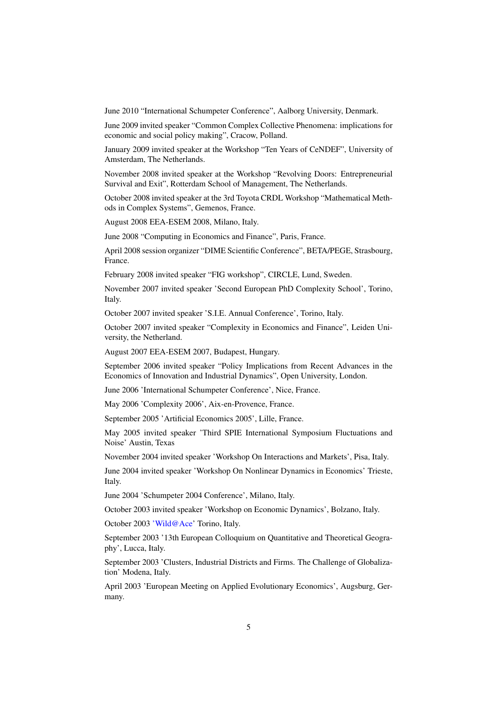June 2010 "International Schumpeter Conference", Aalborg University, Denmark.

June 2009 invited speaker "Common Complex Collective Phenomena: implications for economic and social policy making", Cracow, Polland.

January 2009 invited speaker at the Workshop "Ten Years of CeNDEF", University of Amsterdam, The Netherlands.

November 2008 invited speaker at the Workshop "Revolving Doors: Entrepreneurial Survival and Exit", Rotterdam School of Management, The Netherlands.

October 2008 invited speaker at the 3rd Toyota CRDL Workshop "Mathematical Methods in Complex Systems", Gemenos, France.

August 2008 EEA-ESEM 2008, Milano, Italy.

June 2008 "Computing in Economics and Finance", Paris, France.

April 2008 session organizer "DIME Scientific Conference", BETA/PEGE, Strasbourg, France.

February 2008 invited speaker "FIG workshop", CIRCLE, Lund, Sweden.

November 2007 invited speaker 'Second European PhD Complexity School', Torino, Italy.

October 2007 invited speaker 'S.I.E. Annual Conference', Torino, Italy.

October 2007 invited speaker "Complexity in Economics and Finance", Leiden University, the Netherland.

August 2007 EEA-ESEM 2007, Budapest, Hungary.

September 2006 invited speaker "Policy Implications from Recent Advances in the Economics of Innovation and Industrial Dynamics", Open University, London.

June 2006 'International Schumpeter Conference', Nice, France.

May 2006 'Complexity 2006', Aix-en-Provence, France.

September 2005 'Artificial Economics 2005', Lille, France.

May 2005 invited speaker 'Third SPIE International Symposium Fluctuations and Noise' Austin, Texas

November 2004 invited speaker 'Workshop On Interactions and Markets', Pisa, Italy.

June 2004 invited speaker 'Workshop On Nonlinear Dynamics in Economics' Trieste, Italy.

June 2004 'Schumpeter 2004 Conference', Milano, Italy.

October 2003 invited speaker 'Workshop on Economic Dynamics', Bolzano, Italy.

October 2003 ['Wild@Ace'](mailto:) Torino, Italy.

September 2003 '13th European Colloquium on Quantitative and Theoretical Geography', Lucca, Italy.

September 2003 'Clusters, Industrial Districts and Firms. The Challenge of Globalization' Modena, Italy.

April 2003 'European Meeting on Applied Evolutionary Economics', Augsburg, Germany.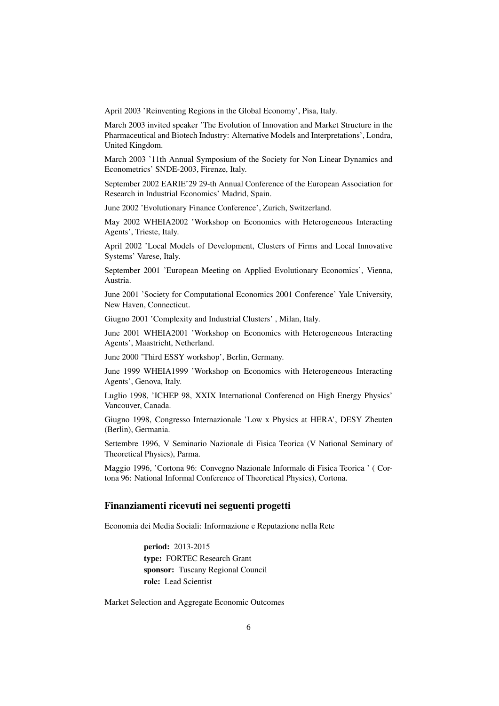April 2003 'Reinventing Regions in the Global Economy', Pisa, Italy.

March 2003 invited speaker 'The Evolution of Innovation and Market Structure in the Pharmaceutical and Biotech Industry: Alternative Models and Interpretations', Londra, United Kingdom.

March 2003 '11th Annual Symposium of the Society for Non Linear Dynamics and Econometrics' SNDE-2003, Firenze, Italy.

September 2002 EARIE'29 29-th Annual Conference of the European Association for Research in Industrial Economics' Madrid, Spain.

June 2002 'Evolutionary Finance Conference', Zurich, Switzerland.

May 2002 WHEIA2002 'Workshop on Economics with Heterogeneous Interacting Agents', Trieste, Italy.

April 2002 'Local Models of Development, Clusters of Firms and Local Innovative Systems' Varese, Italy.

September 2001 'European Meeting on Applied Evolutionary Economics', Vienna, Austria.

June 2001 'Society for Computational Economics 2001 Conference' Yale University, New Haven, Connecticut.

Giugno 2001 'Complexity and Industrial Clusters' , Milan, Italy.

June 2001 WHEIA2001 'Workshop on Economics with Heterogeneous Interacting Agents', Maastricht, Netherland.

June 2000 'Third ESSY workshop', Berlin, Germany.

June 1999 WHEIA1999 'Workshop on Economics with Heterogeneous Interacting Agents', Genova, Italy.

Luglio 1998, 'ICHEP 98, XXIX International Conferencd on High Energy Physics' Vancouver, Canada.

Giugno 1998, Congresso Internazionale 'Low x Physics at HERA', DESY Zheuten (Berlin), Germania.

Settembre 1996, V Seminario Nazionale di Fisica Teorica (V National Seminary of Theoretical Physics), Parma.

Maggio 1996, 'Cortona 96: Convegno Nazionale Informale di Fisica Teorica ' ( Cortona 96: National Informal Conference of Theoretical Physics), Cortona.

#### Finanziamenti ricevuti nei seguenti progetti

Economia dei Media Sociali: Informazione e Reputazione nella Rete

period: 2013-2015 type: FORTEC Research Grant sponsor: Tuscany Regional Council role: Lead Scientist

Market Selection and Aggregate Economic Outcomes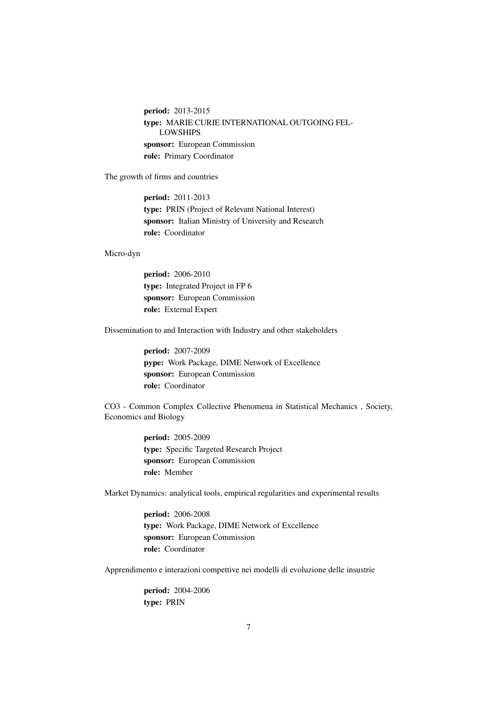period: 2013-2015 type: MARIE CURIE INTERNATIONAL OUTGOING FEL-LOWSHIPS sponsor: European Commission role: Primary Coordinator

The growth of firms and countries

period: 2011-2013 type: PRIN (Project of Relevant National Interest) sponsor: Italian Ministry of University and Research role: Coordinator

#### Micro-dyn

period: 2006-2010 type: Integrated Project in FP 6 sponsor: European Commission role: External Expert

Dissemination to and Interaction with Industry and other stakeholders

period: 2007-2009 pype: Work Package, DIME Network of Excellence sponsor: European Commission role: Coordinator

CO3 - Common Complex Collective Phenomena in Statistical Mechanics , Society, Economics and Biology

> period: 2005-2009 type: Specific Targeted Research Project sponsor: European Commission role: Member

Market Dynamics: analytical tools, empirical regularities and experimental results

period: 2006-2008 type: Work Package, DIME Network of Excellence sponsor: European Commission role: Coordinator

Apprendimento e interazioni compettive nei modelli di evoluzione delle insustrie

period: 2004-2006 type: PRIN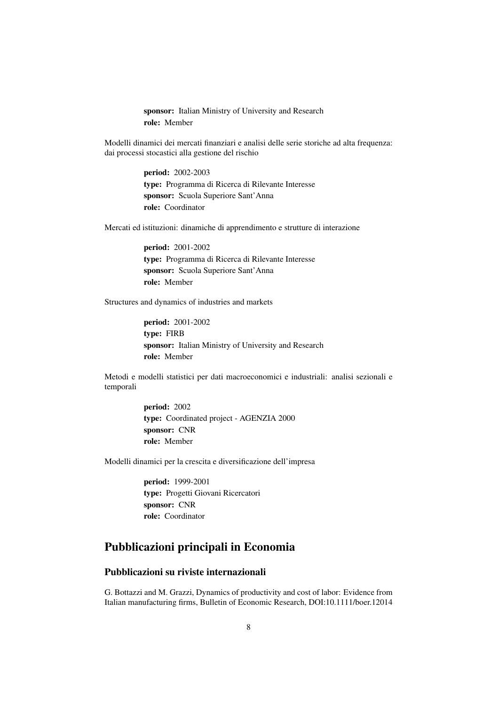sponsor: Italian Ministry of University and Research role: Member

Modelli dinamici dei mercati finanziari e analisi delle serie storiche ad alta frequenza: dai processi stocastici alla gestione del rischio

> period: 2002-2003 type: Programma di Ricerca di Rilevante Interesse sponsor: Scuola Superiore Sant'Anna role: Coordinator

Mercati ed istituzioni: dinamiche di apprendimento e strutture di interazione

period: 2001-2002 type: Programma di Ricerca di Rilevante Interesse sponsor: Scuola Superiore Sant'Anna role: Member

Structures and dynamics of industries and markets

period: 2001-2002 type: FIRB sponsor: Italian Ministry of University and Research role: Member

Metodi e modelli statistici per dati macroeconomici e industriali: analisi sezionali e temporali

> period: 2002 type: Coordinated project - AGENZIA 2000 sponsor: CNR role: Member

Modelli dinamici per la crescita e diversificazione dell'impresa

period: 1999-2001 type: Progetti Giovani Ricercatori sponsor: CNR role: Coordinator

## Pubblicazioni principali in Economia

### Pubblicazioni su riviste internazionali

G. Bottazzi and M. Grazzi, Dynamics of productivity and cost of labor: Evidence from Italian manufacturing firms, Bulletin of Economic Research, DOI:10.1111/boer.12014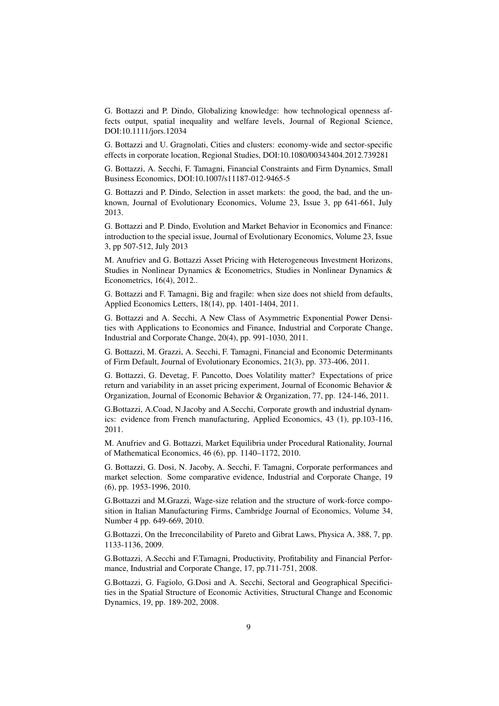G. Bottazzi and P. Dindo, Globalizing knowledge: how technological openness affects output, spatial inequality and welfare levels, Journal of Regional Science, DOI:10.1111/jors.12034

G. Bottazzi and U. Gragnolati, Cities and clusters: economy-wide and sector-specific effects in corporate location, Regional Studies, DOI:10.1080/00343404.2012.739281

G. Bottazzi, A. Secchi, F. Tamagni, Financial Constraints and Firm Dynamics, Small Business Economics, DOI:10.1007/s11187-012-9465-5

G. Bottazzi and P. Dindo, Selection in asset markets: the good, the bad, and the unknown, Journal of Evolutionary Economics, Volume 23, Issue 3, pp 641-661, July 2013.

G. Bottazzi and P. Dindo, Evolution and Market Behavior in Economics and Finance: introduction to the special issue, Journal of Evolutionary Economics, Volume 23, Issue 3, pp 507-512, July 2013

M. Anufriev and G. Bottazzi Asset Pricing with Heterogeneous Investment Horizons, Studies in Nonlinear Dynamics & Econometrics, Studies in Nonlinear Dynamics & Econometrics, 16(4), 2012..

G. Bottazzi and F. Tamagni, Big and fragile: when size does not shield from defaults, Applied Economics Letters, 18(14), pp. 1401-1404, 2011.

G. Bottazzi and A. Secchi, A New Class of Asymmetric Exponential Power Densities with Applications to Economics and Finance, Industrial and Corporate Change, Industrial and Corporate Change, 20(4), pp. 991-1030, 2011.

G. Bottazzi, M. Grazzi, A. Secchi, F. Tamagni, Financial and Economic Determinants of Firm Default, Journal of Evolutionary Economics, 21(3), pp. 373-406, 2011.

G. Bottazzi, G. Devetag, F. Pancotto, Does Volatility matter? Expectations of price return and variability in an asset pricing experiment, Journal of Economic Behavior & Organization, Journal of Economic Behavior & Organization, 77, pp. 124-146, 2011.

G.Bottazzi, A.Coad, N.Jacoby and A.Secchi, Corporate growth and industrial dynamics: evidence from French manufacturing, Applied Economics, 43 (1), pp.103-116, 2011.

M. Anufriev and G. Bottazzi, Market Equilibria under Procedural Rationality, Journal of Mathematical Economics, 46 (6), pp. 1140–1172, 2010.

G. Bottazzi, G. Dosi, N. Jacoby, A. Secchi, F. Tamagni, Corporate performances and market selection. Some comparative evidence, Industrial and Corporate Change, 19 (6), pp. 1953-1996, 2010.

G.Bottazzi and M.Grazzi, Wage-size relation and the structure of work-force composition in Italian Manufacturing Firms, Cambridge Journal of Economics, Volume 34, Number 4 pp. 649-669, 2010.

G.Bottazzi, On the Irreconcilability of Pareto and Gibrat Laws, Physica A, 388, 7, pp. 1133-1136, 2009.

G.Bottazzi, A.Secchi and F.Tamagni, Productivity, Profitability and Financial Performance, Industrial and Corporate Change, 17, pp.711-751, 2008.

G.Bottazzi, G. Fagiolo, G.Dosi and A. Secchi, Sectoral and Geographical Specificities in the Spatial Structure of Economic Activities, Structural Change and Economic Dynamics, 19, pp. 189-202, 2008.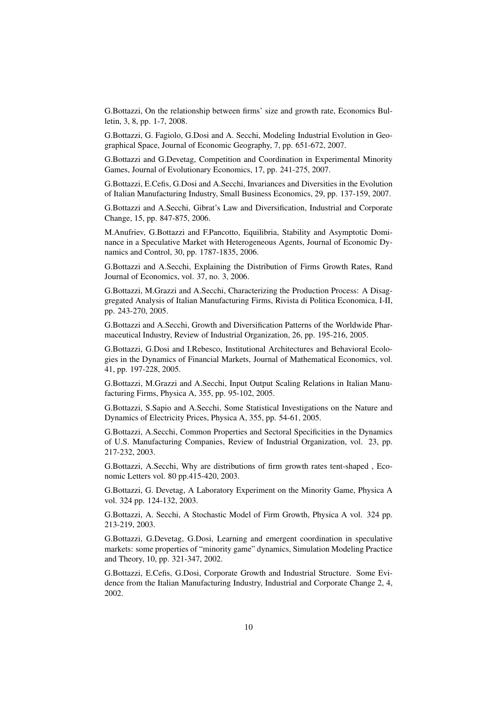G.Bottazzi, On the relationship between firms' size and growth rate, Economics Bulletin, 3, 8, pp. 1-7, 2008.

G.Bottazzi, G. Fagiolo, G.Dosi and A. Secchi, Modeling Industrial Evolution in Geographical Space, Journal of Economic Geography, 7, pp. 651-672, 2007.

G.Bottazzi and G.Devetag, Competition and Coordination in Experimental Minority Games, Journal of Evolutionary Economics, 17, pp. 241-275, 2007.

G.Bottazzi, E.Cefis, G.Dosi and A.Secchi, Invariances and Diversities in the Evolution of Italian Manufacturing Industry, Small Business Economics, 29, pp. 137-159, 2007.

G.Bottazzi and A.Secchi, Gibrat's Law and Diversification, Industrial and Corporate Change, 15, pp. 847-875, 2006.

M.Anufriev, G.Bottazzi and F.Pancotto, Equilibria, Stability and Asymptotic Dominance in a Speculative Market with Heterogeneous Agents, Journal of Economic Dynamics and Control, 30, pp. 1787-1835, 2006.

G.Bottazzi and A.Secchi, Explaining the Distribution of Firms Growth Rates, Rand Journal of Economics, vol. 37, no. 3, 2006.

G.Bottazzi, M.Grazzi and A.Secchi, Characterizing the Production Process: A Disaggregated Analysis of Italian Manufacturing Firms, Rivista di Politica Economica, I-II, pp. 243-270, 2005.

G.Bottazzi and A.Secchi, Growth and Diversification Patterns of the Worldwide Pharmaceutical Industry, Review of Industrial Organization, 26, pp. 195-216, 2005.

G.Bottazzi, G.Dosi and I.Rebesco, Institutional Architectures and Behavioral Ecologies in the Dynamics of Financial Markets, Journal of Mathematical Economics, vol. 41, pp. 197-228, 2005.

G.Bottazzi, M.Grazzi and A.Secchi, Input Output Scaling Relations in Italian Manufacturing Firms, Physica A, 355, pp. 95-102, 2005.

G.Bottazzi, S.Sapio and A.Secchi, Some Statistical Investigations on the Nature and Dynamics of Electricity Prices, Physica A, 355, pp. 54-61, 2005.

G.Bottazzi, A.Secchi, Common Properties and Sectoral Specificities in the Dynamics of U.S. Manufacturing Companies, Review of Industrial Organization, vol. 23, pp. 217-232, 2003.

G.Bottazzi, A.Secchi, Why are distributions of firm growth rates tent-shaped , Economic Letters vol. 80 pp.415-420, 2003.

G.Bottazzi, G. Devetag, A Laboratory Experiment on the Minority Game, Physica A vol. 324 pp. 124-132, 2003.

G.Bottazzi, A. Secchi, A Stochastic Model of Firm Growth, Physica A vol. 324 pp. 213-219, 2003.

G.Bottazzi, G.Devetag, G.Dosi, Learning and emergent coordination in speculative markets: some properties of "minority game" dynamics, Simulation Modeling Practice and Theory, 10, pp. 321-347, 2002.

G.Bottazzi, E.Cefis, G.Dosi, Corporate Growth and Industrial Structure. Some Evidence from the Italian Manufacturing Industry, Industrial and Corporate Change 2, 4, 2002.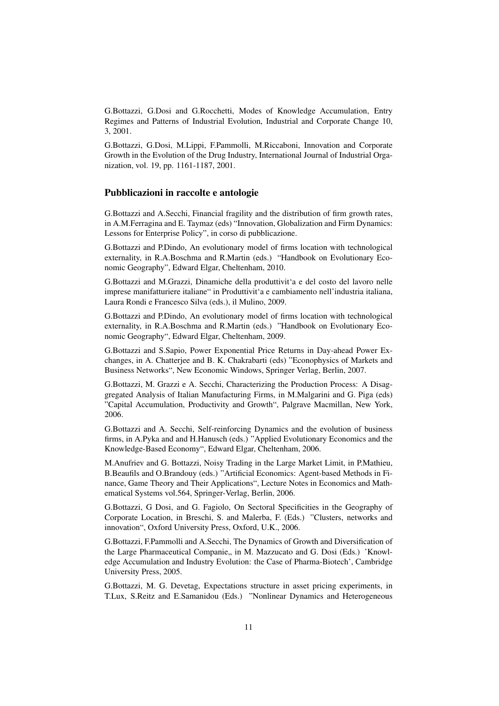G.Bottazzi, G.Dosi and G.Rocchetti, Modes of Knowledge Accumulation, Entry Regimes and Patterns of Industrial Evolution, Industrial and Corporate Change 10, 3, 2001.

G.Bottazzi, G.Dosi, M.Lippi, F.Pammolli, M.Riccaboni, Innovation and Corporate Growth in the Evolution of the Drug Industry, International Journal of Industrial Organization, vol. 19, pp. 1161-1187, 2001.

#### Pubblicazioni in raccolte e antologie

G.Bottazzi and A.Secchi, Financial fragility and the distribution of firm growth rates, in A.M.Ferragina and E. Taymaz (eds) "Innovation, Globalization and Firm Dynamics: Lessons for Enterprise Policy", in corso di pubblicazione.

G.Bottazzi and P.Dindo, An evolutionary model of firms location with technological externality, in R.A.Boschma and R.Martin (eds.) "Handbook on Evolutionary Economic Geography", Edward Elgar, Cheltenham, 2010.

G.Bottazzi and M.Grazzi, Dinamiche della produttivit'a e del costo del lavoro nelle imprese manifatturiere italiane" in Produttivit'a e cambiamento nell'industria italiana, Laura Rondi e Francesco Silva (eds.), il Mulino, 2009.

G.Bottazzi and P.Dindo, An evolutionary model of firms location with technological externality, in R.A.Boschma and R.Martin (eds.) "Handbook on Evolutionary Economic Geography", Edward Elgar, Cheltenham, 2009.

G.Bottazzi and S.Sapio, Power Exponential Price Returns in Day-ahead Power Exchanges, in A. Chatterjee and B. K. Chakrabarti (eds) "Econophysics of Markets and Business Networks", New Economic Windows, Springer Verlag, Berlin, 2007.

G.Bottazzi, M. Grazzi e A. Secchi, Characterizing the Production Process: A Disaggregated Analysis of Italian Manufacturing Firms, in M.Malgarini and G. Piga (eds) "Capital Accumulation, Productivity and Growth", Palgrave Macmillan, New York, 2006.

G.Bottazzi and A. Secchi, Self-reinforcing Dynamics and the evolution of business firms, in A.Pyka and and H.Hanusch (eds.) "Applied Evolutionary Economics and the Knowledge-Based Economy", Edward Elgar, Cheltenham, 2006.

M.Anufriev and G. Bottazzi, Noisy Trading in the Large Market Limit, in P.Mathieu, B.Beaufils and O.Brandouy (eds.) "Artificial Economics: Agent-based Methods in Finance, Game Theory and Their Applications", Lecture Notes in Economics and Mathematical Systems vol.564, Springer-Verlag, Berlin, 2006.

G.Bottazzi, G Dosi, and G. Fagiolo, On Sectoral Specificities in the Geography of Corporate Location, in Breschi, S. and Malerba, F. (Eds.) "Clusters, networks and innovation", Oxford University Press, Oxford, U.K., 2006.

G.Bottazzi, F.Pammolli and A.Secchi, The Dynamics of Growth and Diversification of the Large Pharmaceutical Companie,, in M. Mazzucato and G. Dosi (Eds.) 'Knowledge Accumulation and Industry Evolution: the Case of Pharma-Biotech', Cambridge University Press, 2005.

G.Bottazzi, M. G. Devetag, Expectations structure in asset pricing experiments, in T.Lux, S.Reitz and E.Samanidou (Eds.) "Nonlinear Dynamics and Heterogeneous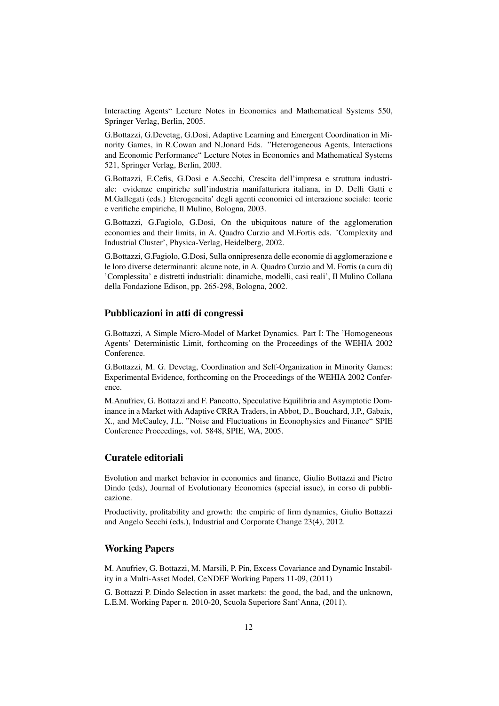Interacting Agents" Lecture Notes in Economics and Mathematical Systems 550, Springer Verlag, Berlin, 2005.

G.Bottazzi, G.Devetag, G.Dosi, Adaptive Learning and Emergent Coordination in Minority Games, in R.Cowan and N.Jonard Eds. "Heterogeneous Agents, Interactions and Economic Performance" Lecture Notes in Economics and Mathematical Systems 521, Springer Verlag, Berlin, 2003.

G.Bottazzi, E.Cefis, G.Dosi e A.Secchi, Crescita dell'impresa e struttura industriale: evidenze empiriche sull'industria manifatturiera italiana, in D. Delli Gatti e M.Gallegati (eds.) Eterogeneita' degli agenti economici ed interazione sociale: teorie e verifiche empiriche, Il Mulino, Bologna, 2003.

G.Bottazzi, G.Fagiolo, G.Dosi, On the ubiquitous nature of the agglomeration economies and their limits, in A. Quadro Curzio and M.Fortis eds. 'Complexity and Industrial Cluster', Physica-Verlag, Heidelberg, 2002.

G.Bottazzi, G.Fagiolo, G.Dosi, Sulla onnipresenza delle economie di agglomerazione e le loro diverse determinanti: alcune note, in A. Quadro Curzio and M. Fortis (a cura di) 'Complessita' e distretti industriali: dinamiche, modelli, casi reali', Il Mulino Collana della Fondazione Edison, pp. 265-298, Bologna, 2002.

### Pubblicazioni in atti di congressi

G.Bottazzi, A Simple Micro-Model of Market Dynamics. Part I: The 'Homogeneous Agents' Deterministic Limit, forthcoming on the Proceedings of the WEHIA 2002 Conference.

G.Bottazzi, M. G. Devetag, Coordination and Self-Organization in Minority Games: Experimental Evidence, forthcoming on the Proceedings of the WEHIA 2002 Conference.

M.Anufriev, G. Bottazzi and F. Pancotto, Speculative Equilibria and Asymptotic Dominance in a Market with Adaptive CRRA Traders, in Abbot, D., Bouchard, J.P., Gabaix, X., and McCauley, J.L. "Noise and Fluctuations in Econophysics and Finance" SPIE Conference Proceedings, vol. 5848, SPIE, WA, 2005.

### Curatele editoriali

Evolution and market behavior in economics and finance, Giulio Bottazzi and Pietro Dindo (eds), Journal of Evolutionary Economics (special issue), in corso di pubblicazione.

Productivity, profitability and growth: the empiric of firm dynamics, Giulio Bottazzi and Angelo Secchi (eds.), Industrial and Corporate Change 23(4), 2012.

### Working Papers

M. Anufriev, G. Bottazzi, M. Marsili, P. Pin, Excess Covariance and Dynamic Instability in a Multi-Asset Model, CeNDEF Working Papers 11-09, (2011)

G. Bottazzi P. Dindo Selection in asset markets: the good, the bad, and the unknown, L.E.M. Working Paper n. 2010-20, Scuola Superiore Sant'Anna, (2011).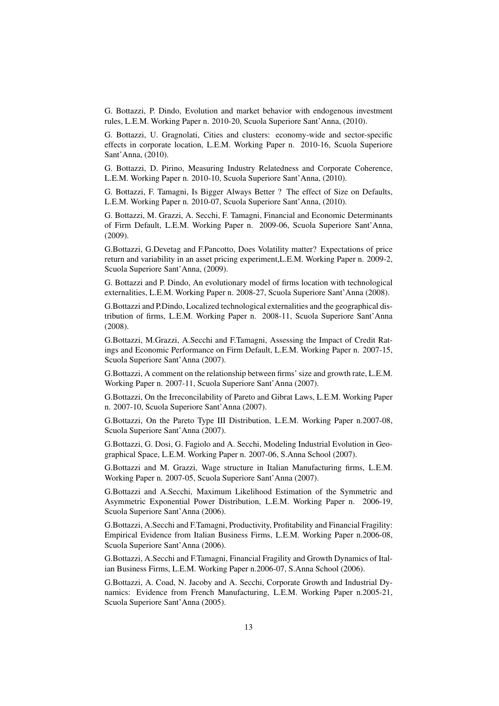G. Bottazzi, P. Dindo, Evolution and market behavior with endogenous investment rules, L.E.M. Working Paper n. 2010-20, Scuola Superiore Sant'Anna, (2010).

G. Bottazzi, U. Gragnolati, Cities and clusters: economy-wide and sector-specific effects in corporate location, L.E.M. Working Paper n. 2010-16, Scuola Superiore Sant'Anna, (2010).

G. Bottazzi, D. Pirino, Measuring Industry Relatedness and Corporate Coherence, L.E.M. Working Paper n. 2010-10, Scuola Superiore Sant'Anna, (2010).

G. Bottazzi, F. Tamagni, Is Bigger Always Better ? The effect of Size on Defaults, L.E.M. Working Paper n. 2010-07, Scuola Superiore Sant'Anna, (2010).

G. Bottazzi, M. Grazzi, A. Secchi, F. Tamagni, Financial and Economic Determinants of Firm Default, L.E.M. Working Paper n. 2009-06, Scuola Superiore Sant'Anna, (2009).

G.Bottazzi, G.Devetag and F.Pancotto, Does Volatility matter? Expectations of price return and variability in an asset pricing experiment,L.E.M. Working Paper n. 2009-2, Scuola Superiore Sant'Anna, (2009).

G. Bottazzi and P. Dindo, An evolutionary model of firms location with technological externalities, L.E.M. Working Paper n. 2008-27, Scuola Superiore Sant'Anna (2008).

G.Bottazzi and P.Dindo, Localized technological externalities and the geographical distribution of firms, L.E.M. Working Paper n. 2008-11, Scuola Superiore Sant'Anna (2008).

G.Bottazzi, M.Grazzi, A.Secchi and F.Tamagni, Assessing the Impact of Credit Ratings and Economic Performance on Firm Default, L.E.M. Working Paper n. 2007-15, Scuola Superiore Sant'Anna (2007).

G.Bottazzi, A comment on the relationship between firms' size and growth rate, L.E.M. Working Paper n. 2007-11, Scuola Superiore Sant'Anna (2007).

G.Bottazzi, On the Irreconcilability of Pareto and Gibrat Laws, L.E.M. Working Paper n. 2007-10, Scuola Superiore Sant'Anna (2007).

G.Bottazzi, On the Pareto Type III Distribution, L.E.M. Working Paper n.2007-08, Scuola Superiore Sant'Anna (2007).

G.Bottazzi, G. Dosi, G. Fagiolo and A. Secchi, Modeling Industrial Evolution in Geographical Space, L.E.M. Working Paper n. 2007-06, S.Anna School (2007).

G.Bottazzi and M. Grazzi, Wage structure in Italian Manufacturing firms, L.E.M. Working Paper n. 2007-05, Scuola Superiore Sant'Anna (2007).

G.Bottazzi and A.Secchi, Maximum Likelihood Estimation of the Symmetric and Asymmetric Exponential Power Distribution, L.E.M. Working Paper n. 2006-19, Scuola Superiore Sant'Anna (2006).

G.Bottazzi, A.Secchi and F.Tamagni, Productivity, Profitability and Financial Fragility: Empirical Evidence from Italian Business Firms, L.E.M. Working Paper n.2006-08, Scuola Superiore Sant'Anna (2006).

G.Bottazzi, A.Secchi and F.Tamagni, Financial Fragility and Growth Dynamics of Italian Business Firms, L.E.M. Working Paper n.2006-07, S.Anna School (2006).

G.Bottazzi, A. Coad, N. Jacoby and A. Secchi, Corporate Growth and Industrial Dynamics: Evidence from French Manufacturing, L.E.M. Working Paper n.2005-21, Scuola Superiore Sant'Anna (2005).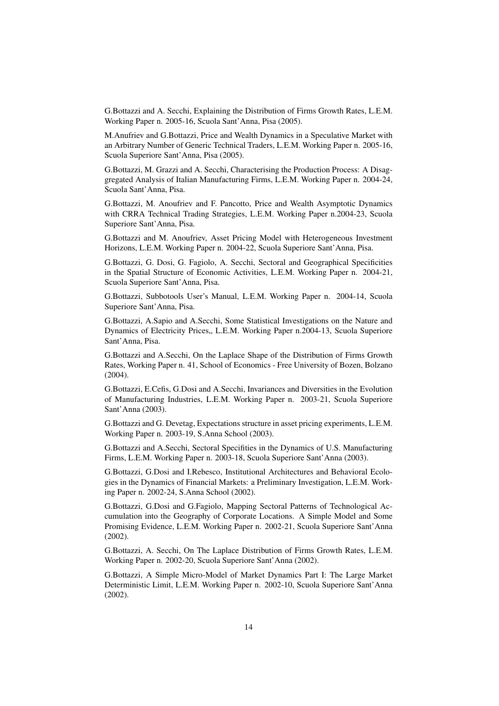G.Bottazzi and A. Secchi, Explaining the Distribution of Firms Growth Rates, L.E.M. Working Paper n. 2005-16, Scuola Sant'Anna, Pisa (2005).

M.Anufriev and G.Bottazzi, Price and Wealth Dynamics in a Speculative Market with an Arbitrary Number of Generic Technical Traders, L.E.M. Working Paper n. 2005-16, Scuola Superiore Sant'Anna, Pisa (2005).

G.Bottazzi, M. Grazzi and A. Secchi, Characterising the Production Process: A Disaggregated Analysis of Italian Manufacturing Firms, L.E.M. Working Paper n. 2004-24, Scuola Sant'Anna, Pisa.

G.Bottazzi, M. Anoufriev and F. Pancotto, Price and Wealth Asymptotic Dynamics with CRRA Technical Trading Strategies, L.E.M. Working Paper n.2004-23, Scuola Superiore Sant'Anna, Pisa.

G.Bottazzi and M. Anoufriev, Asset Pricing Model with Heterogeneous Investment Horizons, L.E.M. Working Paper n. 2004-22, Scuola Superiore Sant'Anna, Pisa.

G.Bottazzi, G. Dosi, G. Fagiolo, A. Secchi, Sectoral and Geographical Specificities in the Spatial Structure of Economic Activities, L.E.M. Working Paper n. 2004-21, Scuola Superiore Sant'Anna, Pisa.

G.Bottazzi, Subbotools User's Manual, L.E.M. Working Paper n. 2004-14, Scuola Superiore Sant'Anna, Pisa.

G.Bottazzi, A.Sapio and A.Secchi, Some Statistical Investigations on the Nature and Dynamics of Electricity Prices,, L.E.M. Working Paper n.2004-13, Scuola Superiore Sant'Anna, Pisa.

G.Bottazzi and A.Secchi, On the Laplace Shape of the Distribution of Firms Growth Rates, Working Paper n. 41, School of Economics - Free University of Bozen, Bolzano (2004).

G.Bottazzi, E.Cefis, G.Dosi and A.Secchi, Invariances and Diversities in the Evolution of Manufacturing Industries, L.E.M. Working Paper n. 2003-21, Scuola Superiore Sant'Anna (2003).

G.Bottazzi and G. Devetag, Expectations structure in asset pricing experiments, L.E.M. Working Paper n. 2003-19, S.Anna School (2003).

G.Bottazzi and A.Secchi, Sectoral Specifities in the Dynamics of U.S. Manufacturing Firms, L.E.M. Working Paper n. 2003-18, Scuola Superiore Sant'Anna (2003).

G.Bottazzi, G.Dosi and I.Rebesco, Institutional Architectures and Behavioral Ecologies in the Dynamics of Financial Markets: a Preliminary Investigation, L.E.M. Working Paper n. 2002-24, S.Anna School (2002).

G.Bottazzi, G.Dosi and G.Fagiolo, Mapping Sectoral Patterns of Technological Accumulation into the Geography of Corporate Locations. A Simple Model and Some Promising Evidence, L.E.M. Working Paper n. 2002-21, Scuola Superiore Sant'Anna (2002).

G.Bottazzi, A. Secchi, On The Laplace Distribution of Firms Growth Rates, L.E.M. Working Paper n. 2002-20, Scuola Superiore Sant'Anna (2002).

G.Bottazzi, A Simple Micro-Model of Market Dynamics Part I: The Large Market Deterministic Limit, L.E.M. Working Paper n. 2002-10, Scuola Superiore Sant'Anna (2002).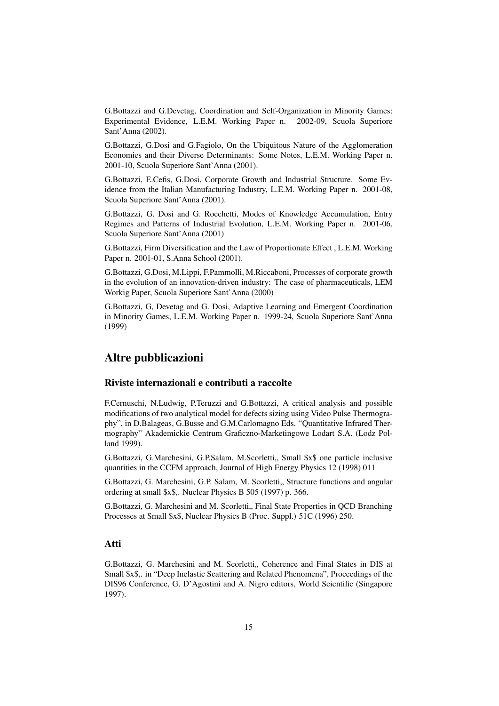G.Bottazzi and G.Devetag, Coordination and Self-Organization in Minority Games: Experimental Evidence, L.E.M. Working Paper n. 2002-09, Scuola Superiore Sant'Anna (2002).

G.Bottazzi, G.Dosi and G.Fagiolo, On the Ubiquitous Nature of the Agglomeration Economies and their Diverse Determinants: Some Notes, L.E.M. Working Paper n. 2001-10, Scuola Superiore Sant'Anna (2001).

G.Bottazzi, E.Cefis, G.Dosi, Corporate Growth and Industrial Structure. Some Evidence from the Italian Manufacturing Industry, L.E.M. Working Paper n. 2001-08, Scuola Superiore Sant'Anna (2001).

G.Bottazzi, G. Dosi and G. Rocchetti, Modes of Knowledge Accumulation, Entry Regimes and Patterns of Industrial Evolution, L.E.M. Working Paper n. 2001-06, Scuola Superiore Sant'Anna (2001)

G.Bottazzi, Firm Diversification and the Law of Proportionate Effect , L.E.M. Working Paper n. 2001-01, S.Anna School (2001).

G.Bottazzi, G.Dosi, M.Lippi, F.Pammolli, M.Riccaboni, Processes of corporate growth in the evolution of an innovation-driven industry: The case of pharmaceuticals, LEM Workig Paper, Scuola Superiore Sant'Anna (2000)

G.Bottazzi, G, Devetag and G. Dosi, Adaptive Learning and Emergent Coordination in Minority Games, L.E.M. Working Paper n. 1999-24, Scuola Superiore Sant'Anna (1999)

### Altre pubblicazioni

### Riviste internazionali e contributi a raccolte

F.Cernuschi, N.Ludwig, P.Teruzzi and G.Bottazzi, A critical analysis and possible modifications of two analytical model for defects sizing using Video Pulse Thermography", in D.Balageas, G.Busse and G.M.Carlomagno Eds. "Quantitative Infrared Thermography" Akademickie Centrum Graficzno-Marketingowe Lodart S.A. (Lodz Polland 1999).

G.Bottazzi, G.Marchesini, G.P.Salam, M.Scorletti,, Small \$x\$ one particle inclusive quantities in the CCFM approach, Journal of High Energy Physics 12 (1998) 011

G.Bottazzi, G. Marchesini, G.P. Salam, M. Scorletti,, Structure functions and angular ordering at small \$x\$,. Nuclear Physics B 505 (1997) p. 366.

G.Bottazzi, G. Marchesini and M. Scorletti.. Final State Properties in OCD Branching Processes at Small \$x\$, Nuclear Physics B (Proc. Suppl.) 51C (1996) 250.

### Atti

G.Bottazzi, G. Marchesini and M. Scorletti,, Coherence and Final States in DIS at Small \$x\$,. in "Deep Inelastic Scattering and Related Phenomena", Proceedings of the DIS96 Conference, G. D'Agostini and A. Nigro editors, World Scientific (Singapore 1997).